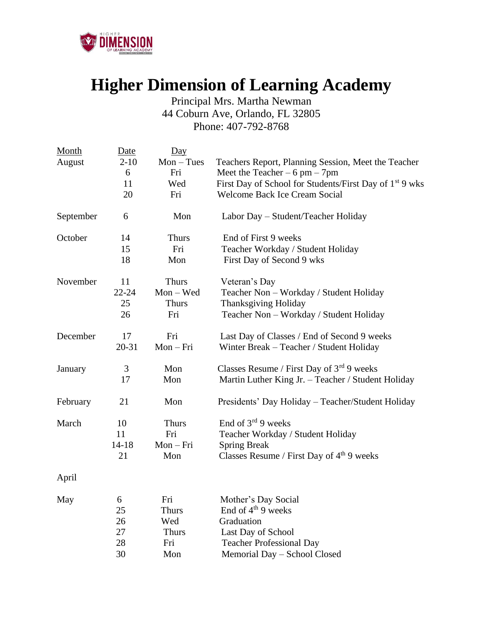

## **Higher Dimension of Learning Academy**

Principal Mrs. Martha Newman 44 Coburn Ave, Orlando, FL 32805 Phone: 407-792-8768

| Month     | Date      | $\overline{Day}$ |                                                         |
|-----------|-----------|------------------|---------------------------------------------------------|
| August    | $2 - 10$  | $Mon - Tues$     | Teachers Report, Planning Session, Meet the Teacher     |
|           | 6         | Fri              | Meet the Teacher $-6$ pm $-7$ pm                        |
|           | 11        | Wed              | First Day of School for Students/First Day of 1st 9 wks |
|           | 20        | Fri              | <b>Welcome Back Ice Cream Social</b>                    |
| September | 6         | Mon              | Labor Day - Student/Teacher Holiday                     |
| October   | 14        | <b>Thurs</b>     | End of First 9 weeks                                    |
|           | 15        | Fri              | Teacher Workday / Student Holiday                       |
|           | 18        | Mon              | First Day of Second 9 wks                               |
| November  | 11        | <b>Thurs</b>     | Veteran's Day                                           |
|           | $22 - 24$ | $Mon - Wed$      | Teacher Non - Workday / Student Holiday                 |
|           | 25        | <b>Thurs</b>     | Thanksgiving Holiday                                    |
|           | 26        | Fri              | Teacher Non - Workday / Student Holiday                 |
| December  | 17        | Fri              | Last Day of Classes / End of Second 9 weeks             |
|           | 20-31     | Mon-Fri          | Winter Break - Teacher / Student Holiday                |
| January   | 3         | Mon              | Classes Resume / First Day of $3^{rd}$ 9 weeks          |
|           | 17        | Mon              | Martin Luther King Jr. - Teacher / Student Holiday      |
| February  | 21        | Mon              | Presidents' Day Holiday - Teacher/Student Holiday       |
| March     | 10        | <b>Thurs</b>     | End of $3^{rd}$ 9 weeks                                 |
|           | 11        | Fri              | Teacher Workday / Student Holiday                       |
|           | $14 - 18$ | $Mon-Fri$        | <b>Spring Break</b>                                     |
|           | 21        | Mon              | Classes Resume / First Day of $4th$ 9 weeks             |
| April     |           |                  |                                                         |
| May       | 6         | Fri              | Mother's Day Social                                     |
|           | 25        | <b>Thurs</b>     | End of 4 <sup>th</sup> 9 weeks                          |
|           | 26        | Wed              | Graduation                                              |
|           | 27        | <b>Thurs</b>     | Last Day of School                                      |
|           | 28        | Fri              | <b>Teacher Professional Day</b>                         |
|           | 30        | Mon              | Memorial Day - School Closed                            |